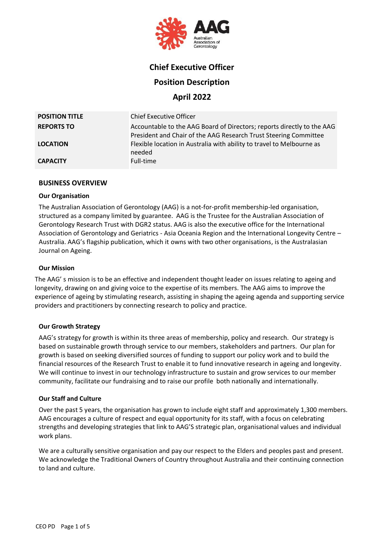

# **Chief Executive Officer**

## **Position Description**

**April 2022**

| <b>POSITION TITLE</b> | <b>Chief Executive Officer</b>                                                                                                             |
|-----------------------|--------------------------------------------------------------------------------------------------------------------------------------------|
| <b>REPORTS TO</b>     | Accountable to the AAG Board of Directors; reports directly to the AAG<br>President and Chair of the AAG Research Trust Steering Committee |
| <b>LOCATION</b>       | Flexible location in Australia with ability to travel to Melbourne as<br>needed                                                            |
| <b>CAPACITY</b>       | Full-time                                                                                                                                  |

### **BUSINESS OVERVIEW**

### **Our Organisation**

The Australian Association of Gerontology (AAG) is a not-for-profit membership-led organisation, structured as a company limited by guarantee. AAG is the Trustee for the Australian Association of Gerontology Research Trust with DGR2 status. AAG is also the executive office for the International Association of Gerontology and Geriatrics - Asia Oceania Region and the International Longevity Centre – Australia. AAG's flagship publication, which it owns with two other organisations, is the Australasian Journal on Ageing.

### **Our Mission**

The AAG' s mission is to be an effective and independent thought leader on issues relating to ageing and longevity, drawing on and giving voice to the expertise of its members. The AAG aims to improve the experience of ageing by stimulating research, assisting in shaping the ageing agenda and supporting service providers and practitioners by connecting research to policy and practice.

### **Our Growth Strategy**

AAG's strategy for growth is within its three areas of membership, policy and research. Our strategy is based on sustainable growth through service to our members, stakeholders and partners. Our plan for growth is based on seeking diversified sources of funding to support our policy work and to build the financial resources of the Research Trust to enable it to fund innovative research in ageing and longevity. We will continue to invest in our technology infrastructure to sustain and grow services to our member community, facilitate our fundraising and to raise our profile both nationally and internationally.

### **Our Staff and Culture**

Over the past 5 years, the organisation has grown to include eight staff and approximately 1,300 members. AAG encourages a culture of respect and equal opportunity for its staff, with a focus on celebrating strengths and developing strategies that link to AAG'S strategic plan, organisational values and individual work plans.

We are a culturally sensitive organisation and pay our respect to the Elders and peoples past and present. We acknowledge the Traditional Owners of Country throughout Australia and their continuing connection to land and culture.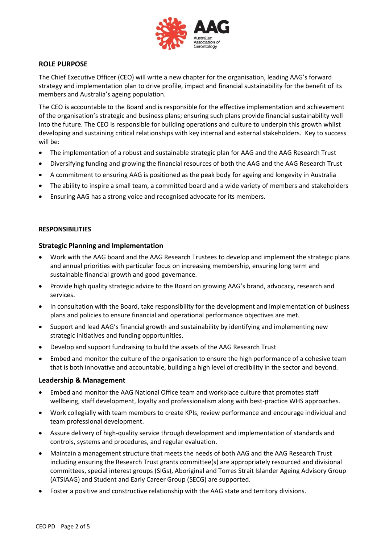

## **ROLE PURPOSE**

The Chief Executive Officer (CEO) will write a new chapter for the organisation, leading AAG's forward strategy and implementation plan to drive profile, impact and financial sustainability for the benefit of its members and Australia's ageing population.

The CEO is accountable to the Board and is responsible for the effective implementation and achievement of the organisation's strategic and business plans; ensuring such plans provide financial sustainability well into the future. The CEO is responsible for building operations and culture to underpin this growth whilst developing and sustaining critical relationships with key internal and external stakeholders. Key to success will be:

- The implementation of a robust and sustainable strategic plan for AAG and the AAG Research Trust
- Diversifying funding and growing the financial resources of both the AAG and the AAG Research Trust
- A commitment to ensuring AAG is positioned as the peak body for ageing and longevity in Australia
- The ability to inspire a small team, a committed board and a wide variety of members and stakeholders
- Ensuring AAG has a strong voice and recognised advocate for its members.

### **RESPONSIBILITIES**

#### **Strategic Planning and Implementation**

- Work with the AAG board and the AAG Research Trustees to develop and implement the strategic plans and annual priorities with particular focus on increasing membership, ensuring long term and sustainable financial growth and good governance.
- Provide high quality strategic advice to the Board on growing AAG's brand, advocacy, research and services.
- In consultation with the Board, take responsibility for the development and implementation of business plans and policies to ensure financial and operational performance objectives are met.
- Support and lead AAG's financial growth and sustainability by identifying and implementing new strategic initiatives and funding opportunities.
- Develop and support fundraising to build the assets of the AAG Research Trust
- Embed and monitor the culture of the organisation to ensure the high performance of a cohesive team that is both innovative and accountable, building a high level of credibility in the sector and beyond.

#### **Leadership & Management**

- Embed and monitor the AAG National Office team and workplace culture that promotes staff wellbeing, staff development, loyalty and professionalism along with best-practice WHS approaches.
- Work collegially with team members to create KPIs, review performance and encourage individual and team professional development.
- Assure delivery of high-quality service through development and implementation of standards and controls, systems and procedures, and regular evaluation.
- Maintain a management structure that meets the needs of both AAG and the AAG Research Trust including ensuring the Research Trust grants committee(s) are appropriately resourced and divisional committees, special interest groups (SIGs), Aboriginal and Torres Strait Islander Ageing Advisory Group (ATSIAAG) and Student and Early Career Group (SECG) are supported.
- Foster a positive and constructive relationship with the AAG state and territory divisions.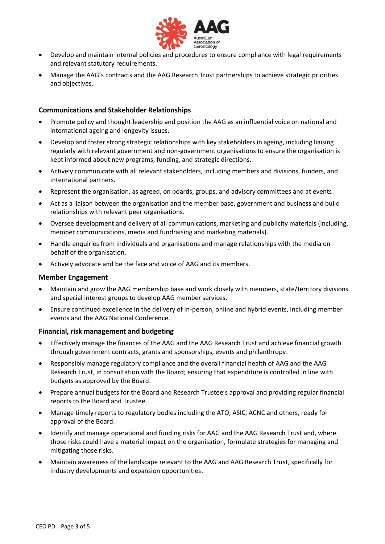

- Develop and maintain internal policies and procedures to ensure compliance with legal requirements and relevant statutory requirements.
- Manage the AAG's contracts and the AAG Research Trust partnerships to achieve strategic priorities and objectives.

### **Communications and Stakeholder Relationships**

- Promote policy and thought leadership and position the AAG as an influential voice on national and international ageing and longevity issues**.**
- Develop and foster strong strategic relationships with key stakeholders in ageing, including liaising regularly with relevant government and non-government organisations to ensure the organisation is kept informed about new programs, funding, and strategic directions.
- Actively communicate with all relevant stakeholders, including members and divisions, funders, and international partners.
- Represent the organisation, as agreed, on boards, groups, and advisory committees and at events.
- Act as a liaison between the organisation and the member base, government and business and build relationships with relevant peer organisations.
- Oversee development and delivery of all communications, marketing and publicity materials (including, member communications, media and fundraising and marketing materials).
- Handle enquiries from individuals and organisations and manage relationships with the media on behalf of the organisation.
- Actively advocate and be the face and voice of AAG and its members.

### **Member Engagement**

- Maintain and grow the AAG membership base and work closely with members, state/territory divisions and special interest groups to develop AAG member services.
- Ensure continued excellence in the delivery of in-person, online and hybrid events, including member events and the AAG National Conference.

### **Financial, risk management and budgeting**

- Effectively manage the finances of the AAG and the AAG Research Trust and achieve financial growth through government contracts, grants and sponsorships, events and philanthropy.
- Responsibly manage regulatory compliance and the overall financial health of AAG and the AAG Research Trust, in consultation with the Board; ensuring that expenditure is controlled in line with budgets as approved by the Board.
- Prepare annual budgets for the Board and Research Trustee's approval and providing regular financial reports to the Board and Trustee.
- Manage timely reports to regulatory bodies including the ATO, ASIC, ACNC and others, ready for approval of the Board.
- Identify and manage operational and funding risks for AAG and the AAG Research Trust and, where those risks could have a material impact on the organisation, formulate strategies for managing and mitigating those risks.
- Maintain awareness of the landscape relevant to the AAG and AAG Research Trust, specifically for industry developments and expansion opportunities.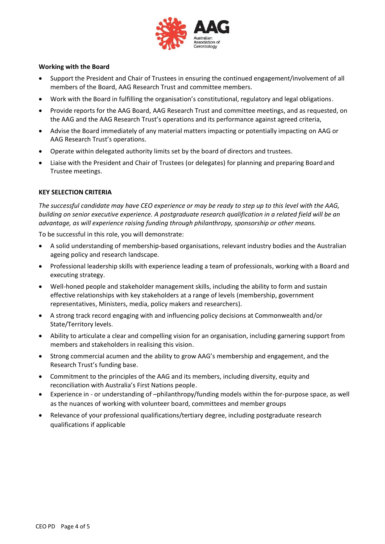

### **Working with the Board**

- Support the President and Chair of Trustees in ensuring the continued engagement/involvement of all members of the Board, AAG Research Trust and committee members.
- Work with the Board in fulfilling the organisation's constitutional, regulatory and legal obligations.
- Provide reports for the AAG Board, AAG Research Trust and committee meetings, and as requested, on the AAG and the AAG Research Trust's operations and its performance against agreed criteria,
- Advise the Board immediately of any material matters impacting or potentially impacting on AAG or AAG Research Trust's operations.
- Operate within delegated authority limits set by the board of directors and trustees.
- Liaise with the President and Chair of Trustees (or delegates) for planning and preparing Boardand Trustee meetings.

### **KEY SELECTION CRITERIA**

*The successful candidate may have CEO experience or may be ready to step up to this level with the AAG, building on senior executive experience. A postgraduate research qualification in a related field will be an advantage, as will experience raising funding through philanthropy, sponsorship or other means.*

To be successful in this role, you will demonstrate:

- A solid understanding of membership-based organisations, relevant industry bodies and the Australian ageing policy and research landscape.
- Professional leadership skills with experience leading a team of professionals, working with a Board and executing strategy.
- Well-honed people and stakeholder management skills, including the ability to form and sustain effective relationships with key stakeholders at a range of levels (membership, government representatives, Ministers, media, policy makers and researchers).
- A strong track record engaging with and influencing policy decisions at Commonwealth and/or State/Territory levels.
- Ability to articulate a clear and compelling vision for an organisation, including garnering support from members and stakeholders in realising this vision.
- Strong commercial acumen and the ability to grow AAG's membership and engagement, and the Research Trust's funding base.
- Commitment to the principles of the AAG and its members, including diversity, equity and reconciliation with Australia's First Nations people.
- Experience in or understanding of –philanthropy/funding models within the for-purpose space, as well as the nuances of working with volunteer board, committees and member groups
- Relevance of your professional qualifications/tertiary degree, including postgraduate research qualifications if applicable